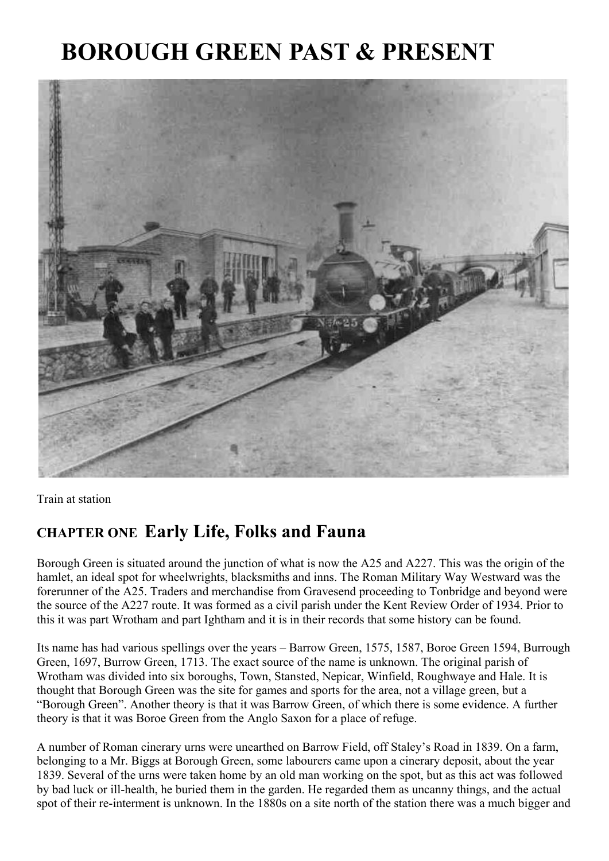# **BOROUGH GREEN PAST & PRESENT**



Train at station

### **CHAPTER ONE Early Life, Folks and Fauna**

Borough Green is situated around the junction of what is now the A25 and A227. This was the origin of the hamlet, an ideal spot for wheelwrights, blacksmiths and inns. The Roman Military Way Westward was the forerunner of the A25. Traders and merchandise from Gravesend proceeding to Tonbridge and beyond were the source of the A227 route. It was formed as a civil parish under the Kent Review Order of 1934. Prior to this it was part Wrotham and part Ightham and it is in their records that some history can be found.

Its name has had various spellings over the years – Barrow Green, 1575, 1587, Boroe Green 1594, Burrough Green, 1697, Burrow Green, 1713. The exact source of the name is unknown. The original parish of Wrotham was divided into six boroughs, Town, Stansted, Nepicar, Winfield, Roughwaye and Hale. It is thought that Borough Green was the site for games and sports for the area, not a village green, but a "Borough Green". Another theory is that it was Barrow Green, of which there is some evidence. A further theory is that it was Boroe Green from the Anglo Saxon for a place of refuge.

A number of Roman cinerary urns were unearthed on Barrow Field, off Staley's Road in 1839. On a farm, belonging to a Mr. Biggs at Borough Green, some labourers came upon a cinerary deposit, about the year 1839. Several of the urns were taken home by an old man working on the spot, but as this act was followed by bad luck or ill-health, he buried them in the garden. He regarded them as uncanny things, and the actual spot of their re-interment is unknown. In the 1880s on a site north of the station there was a much bigger and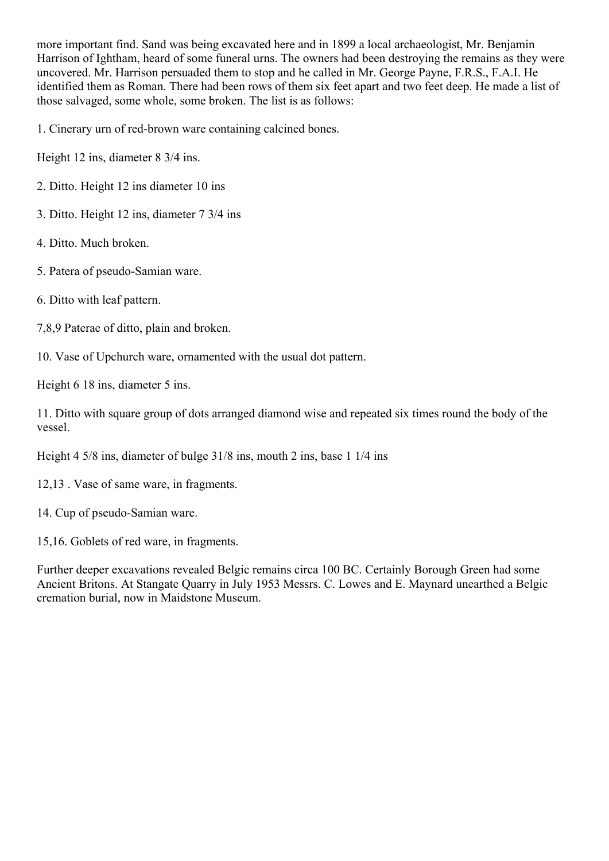more important find. Sand was being excavated here and in 1899 a local archaeologist, Mr. Benjamin Harrison of Ightham, heard of some funeral urns. The owners had been destroying the remains as they were uncovered. Mr. Harrison persuaded them to stop and he called in Mr. George Payne, F.R.S., F.A.I. He identified them as Roman. There had been rows of them six feet apart and two feet deep. He made a list of those salvaged, some whole, some broken. The list is as follows:

1. Cinerary urn of red-brown ware containing calcined bones.

Height 12 ins, diameter 8 3/4 ins.

- 2. Ditto. Height 12 ins diameter 10 ins
- 3. Ditto. Height 12 ins, diameter 7 3/4 ins
- 4. Ditto. Much broken.
- 5. Patera of pseudo-Samian ware.
- 6. Ditto with leaf pattern.
- 7,8,9 Paterae of ditto, plain and broken.
- 10. Vase of Upchurch ware, ornamented with the usual dot pattern.

Height 6 18 ins, diameter 5 ins.

11. Ditto with square group of dots arranged diamond wise and repeated six times round the body of the vessel.

Height 4 5/8 ins, diameter of bulge 31/8 ins, mouth 2 ins, base 1 1/4 ins

12,13 . Vase of same ware, in fragments.

14. Cup of pseudo-Samian ware.

15,16. Goblets of red ware, in fragments.

Further deeper excavations revealed Belgic remains circa 100 BC. Certainly Borough Green had some Ancient Britons. At Stangate Quarry in July 1953 Messrs. C. Lowes and E. Maynard unearthed a Belgic cremation burial, now in Maidstone Museum.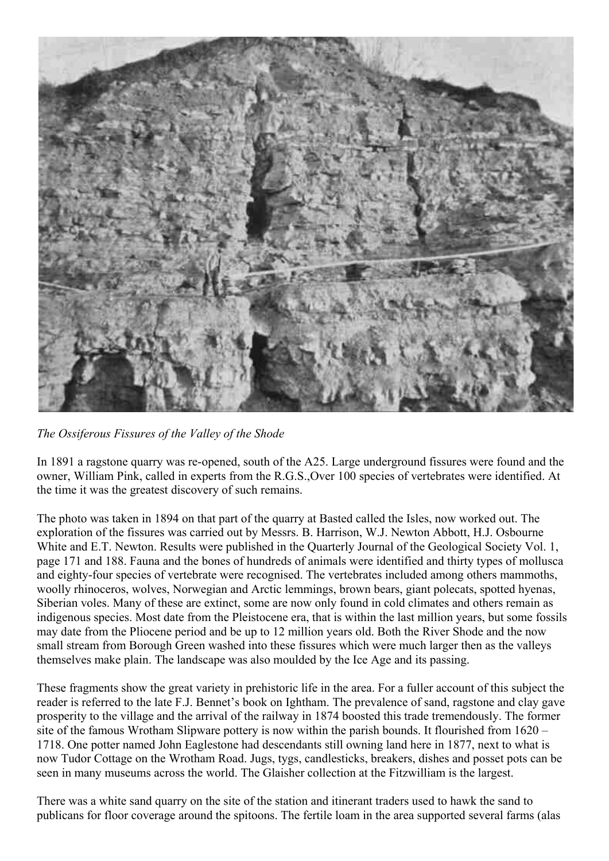

*The Ossiferous Fissures of the Valley of the Shode*

In 1891 a ragstone quarry was re-opened, south of the A25. Large underground fissures were found and the owner, William Pink, called in experts from the R.G.S.,Over 100 species of vertebrates were identified. At the time it was the greatest discovery of such remains.

The photo was taken in 1894 on that part of the quarry at Basted called the Isles, now worked out. The exploration of the fissures was carried out by Messrs. B. Harrison, W.J. Newton Abbott, H.J. Osbourne White and E.T. Newton. Results were published in the Quarterly Journal of the Geological Society Vol. 1, page 171 and 188. Fauna and the bones of hundreds of animals were identified and thirty types of mollusca and eighty-four species of vertebrate were recognised. The vertebrates included among others mammoths, woolly rhinoceros, wolves, Norwegian and Arctic lemmings, brown bears, giant polecats, spotted hyenas, Siberian voles. Many of these are extinct, some are now only found in cold climates and others remain as indigenous species. Most date from the Pleistocene era, that is within the last million years, but some fossils may date from the Pliocene period and be up to 12 million years old. Both the River Shode and the now small stream from Borough Green washed into these fissures which were much larger then as the valleys themselves make plain. The landscape was also moulded by the Ice Age and its passing.

These fragments show the great variety in prehistoric life in the area. For a fuller account of this subject the reader is referred to the late F.J. Bennet's book on Ightham. The prevalence of sand, ragstone and clay gave prosperity to the village and the arrival of the railway in 1874 boosted this trade tremendously. The former site of the famous Wrotham Slipware pottery is now within the parish bounds. It flourished from 1620 – 1718. One potter named John Eaglestone had descendants still owning land here in 1877, next to what is now Tudor Cottage on the Wrotham Road. Jugs, tygs, candlesticks, breakers, dishes and posset pots can be seen in many museums across the world. The Glaisher collection at the Fitzwilliam is the largest.

There was a white sand quarry on the site of the station and itinerant traders used to hawk the sand to publicans for floor coverage around the spitoons. The fertile loam in the area supported several farms (alas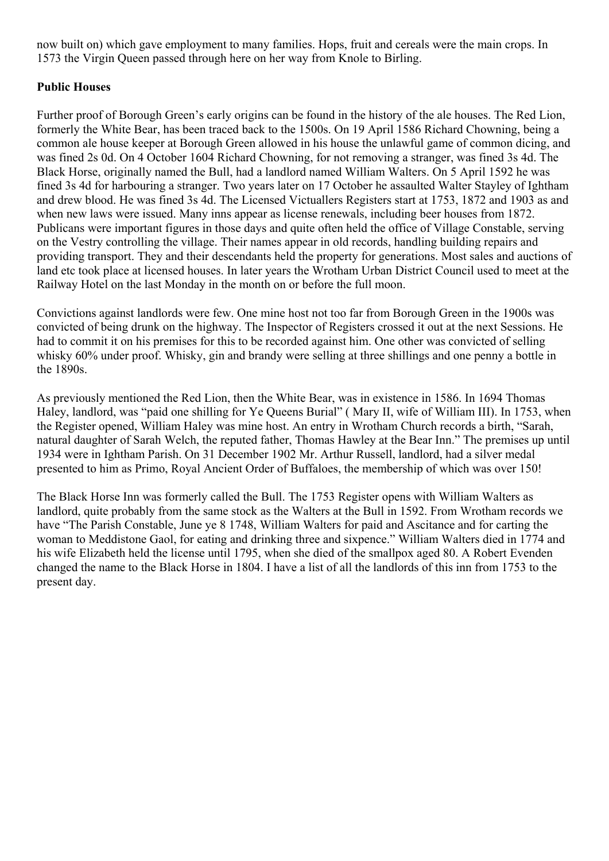now built on) which gave employment to many families. Hops, fruit and cereals were the main crops. In 1573 the Virgin Queen passed through here on her way from Knole to Birling.

#### **Public Houses**

Further proof of Borough Green's early origins can be found in the history of the ale houses. The Red Lion, formerly the White Bear, has been traced back to the 1500s. On 19 April 1586 Richard Chowning, being a common ale house keeper at Borough Green allowed in his house the unlawful game of common dicing, and was fined 2s 0d. On 4 October 1604 Richard Chowning, for not removing a stranger, was fined 3s 4d. The Black Horse, originally named the Bull, had a landlord named William Walters. On 5 April 1592 he was fined 3s 4d for harbouring a stranger. Two years later on 17 October he assaulted Walter Stayley of Ightham and drew blood. He was fined 3s 4d. The Licensed Victuallers Registers start at 1753, 1872 and 1903 as and when new laws were issued. Many inns appear as license renewals, including beer houses from 1872. Publicans were important figures in those days and quite often held the office of Village Constable, serving on the Vestry controlling the village. Their names appear in old records, handling building repairs and providing transport. They and their descendants held the property for generations. Most sales and auctions of land etc took place at licensed houses. In later years the Wrotham Urban District Council used to meet at the Railway Hotel on the last Monday in the month on or before the full moon.

Convictions against landlords were few. One mine host not too far from Borough Green in the 1900s was convicted of being drunk on the highway. The Inspector of Registers crossed it out at the next Sessions. He had to commit it on his premises for this to be recorded against him. One other was convicted of selling whisky 60% under proof. Whisky, gin and brandy were selling at three shillings and one penny a bottle in the 1890s.

As previously mentioned the Red Lion, then the White Bear, was in existence in 1586. In 1694 Thomas Haley, landlord, was "paid one shilling for Ye Queens Burial" ( Mary II, wife of William III). In 1753, when the Register opened, William Haley was mine host. An entry in Wrotham Church records a birth, "Sarah, natural daughter of Sarah Welch, the reputed father, Thomas Hawley at the Bear Inn." The premises up until 1934 were in Ightham Parish. On 31 December 1902 Mr. Arthur Russell, landlord, had a silver medal presented to him as Primo, Royal Ancient Order of Buffaloes, the membership of which was over 150!

The Black Horse Inn was formerly called the Bull. The 1753 Register opens with William Walters as landlord, quite probably from the same stock as the Walters at the Bull in 1592. From Wrotham records we have "The Parish Constable, June ye 8 1748, William Walters for paid and Ascitance and for carting the woman to Meddistone Gaol, for eating and drinking three and sixpence." William Walters died in 1774 and his wife Elizabeth held the license until 1795, when she died of the smallpox aged 80. A Robert Evenden changed the name to the Black Horse in 1804. I have a list of all the landlords of this inn from 1753 to the present day.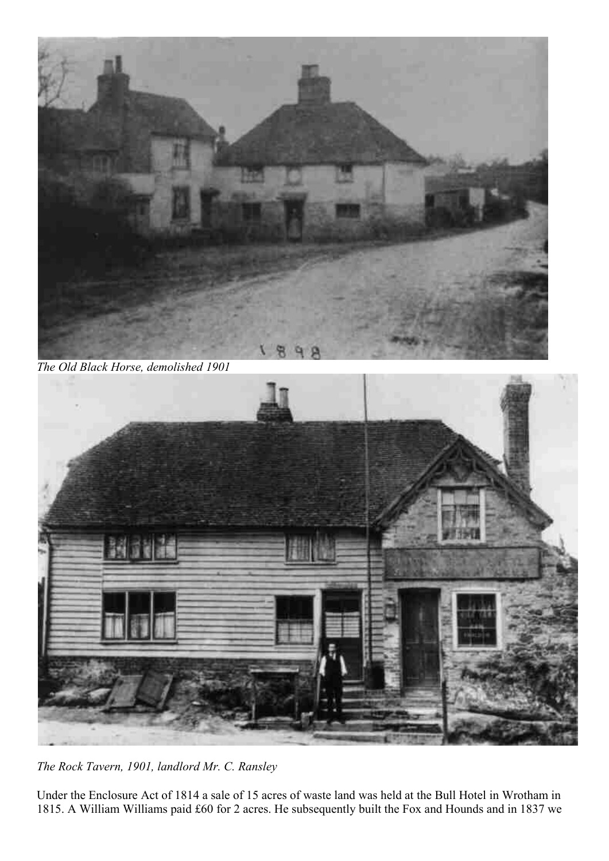

*The Old Black Horse, demolished 1901*



*The Rock Tavern, 1901, landlord Mr. C. Ransley*

Under the Enclosure Act of 1814 a sale of 15 acres of waste land was held at the Bull Hotel in Wrotham in 1815. A William Williams paid £60 for 2 acres. He subsequently built the Fox and Hounds and in 1837 we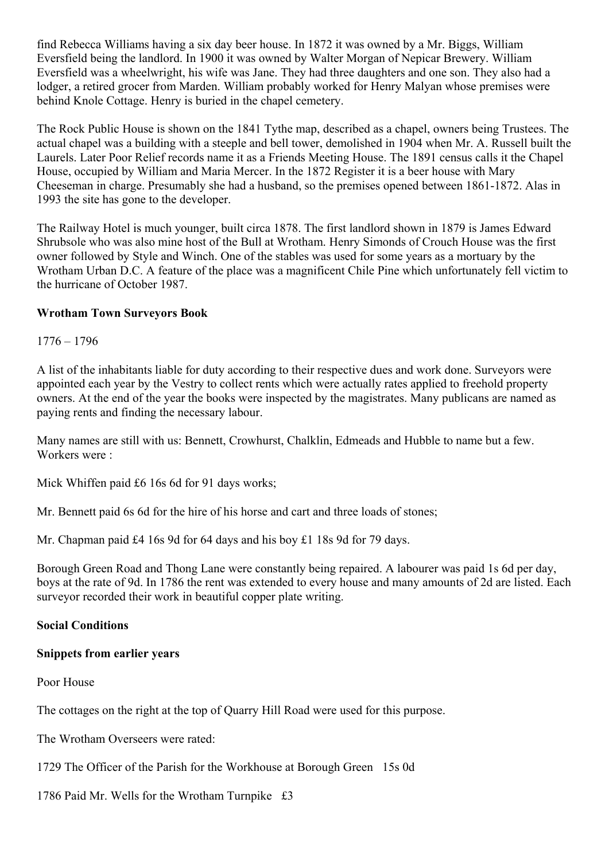find Rebecca Williams having a six day beer house. In 1872 it was owned by a Mr. Biggs, William Eversfield being the landlord. In 1900 it was owned by Walter Morgan of Nepicar Brewery. William Eversfield was a wheelwright, his wife was Jane. They had three daughters and one son. They also had a lodger, a retired grocer from Marden. William probably worked for Henry Malyan whose premises were behind Knole Cottage. Henry is buried in the chapel cemetery.

The Rock Public House is shown on the 1841 Tythe map, described as a chapel, owners being Trustees. The actual chapel was a building with a steeple and bell tower, demolished in 1904 when Mr. A. Russell built the Laurels. Later Poor Relief records name it as a Friends Meeting House. The 1891 census calls it the Chapel House, occupied by William and Maria Mercer. In the 1872 Register it is a beer house with Mary Cheeseman in charge. Presumably she had a husband, so the premises opened between 1861-1872. Alas in 1993 the site has gone to the developer.

The Railway Hotel is much younger, built circa 1878. The first landlord shown in 1879 is James Edward Shrubsole who was also mine host of the Bull at Wrotham. Henry Simonds of Crouch House was the first owner followed by Style and Winch. One of the stables was used for some years as a mortuary by the Wrotham Urban D.C. A feature of the place was a magnificent Chile Pine which unfortunately fell victim to the hurricane of October 1987.

#### **Wrotham Town Surveyors Book**

1776 – 1796

A list of the inhabitants liable for duty according to their respective dues and work done. Surveyors were appointed each year by the Vestry to collect rents which were actually rates applied to freehold property owners. At the end of the year the books were inspected by the magistrates. Many publicans are named as paying rents and finding the necessary labour.

Many names are still with us: Bennett, Crowhurst, Chalklin, Edmeads and Hubble to name but a few. Workers were :

Mick Whiffen paid £6 16s 6d for 91 days works;

Mr. Bennett paid 6s 6d for the hire of his horse and cart and three loads of stones;

Mr. Chapman paid £4 16s 9d for 64 days and his boy £1 18s 9d for 79 days.

Borough Green Road and Thong Lane were constantly being repaired. A labourer was paid 1s 6d per day, boys at the rate of 9d. In 1786 the rent was extended to every house and many amounts of 2d are listed. Each surveyor recorded their work in beautiful copper plate writing.

#### **Social Conditions**

#### **Snippets from earlier years**

Poor House

The cottages on the right at the top of Quarry Hill Road were used for this purpose.

The Wrotham Overseers were rated:

1729 The Officer of the Parish for the Workhouse at Borough Green 15s 0d

1786 Paid Mr. Wells for the Wrotham Turnpike £3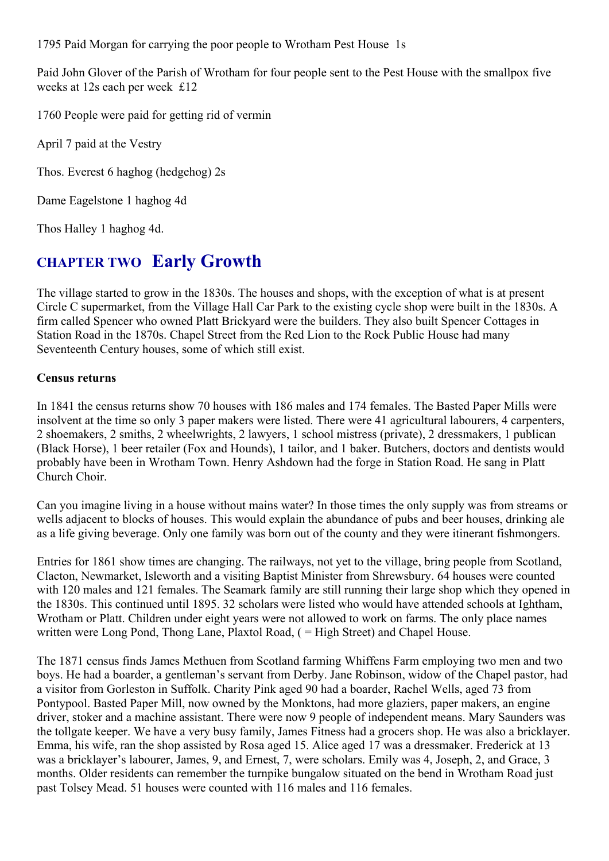1795 Paid Morgan for carrying the poor people to Wrotham Pest House 1s

Paid John Glover of the Parish of Wrotham for four people sent to the Pest House with the smallpox five weeks at 12s each per week £12

1760 People were paid for getting rid of vermin

April 7 paid at the Vestry

Thos. Everest 6 haghog (hedgehog) 2s

Dame Eagelstone 1 haghog 4d

Thos Halley 1 haghog 4d.

### **CHAPTER TWO Early Growth**

The village started to grow in the 1830s. The houses and shops, with the exception of what is at present Circle C supermarket, from the Village Hall Car Park to the existing cycle shop were built in the 1830s. A firm called Spencer who owned Platt Brickyard were the builders. They also built Spencer Cottages in Station Road in the 1870s. Chapel Street from the Red Lion to the Rock Public House had many Seventeenth Century houses, some of which still exist.

#### **Census returns**

In 1841 the census returns show 70 houses with 186 males and 174 females. The Basted Paper Mills were insolvent at the time so only 3 paper makers were listed. There were 41 agricultural labourers, 4 carpenters, 2 shoemakers, 2 smiths, 2 wheelwrights, 2 lawyers, 1 school mistress (private), 2 dressmakers, 1 publican (Black Horse), 1 beer retailer (Fox and Hounds), 1 tailor, and 1 baker. Butchers, doctors and dentists would probably have been in Wrotham Town. Henry Ashdown had the forge in Station Road. He sang in Platt Church Choir.

Can you imagine living in a house without mains water? In those times the only supply was from streams or wells adjacent to blocks of houses. This would explain the abundance of pubs and beer houses, drinking ale as a life giving beverage. Only one family was born out of the county and they were itinerant fishmongers.

Entries for 1861 show times are changing. The railways, not yet to the village, bring people from Scotland, Clacton, Newmarket, Isleworth and a visiting Baptist Minister from Shrewsbury. 64 houses were counted with 120 males and 121 females. The Seamark family are still running their large shop which they opened in the 1830s. This continued until 1895. 32 scholars were listed who would have attended schools at Ightham, Wrotham or Platt. Children under eight years were not allowed to work on farms. The only place names written were Long Pond, Thong Lane, Plaxtol Road, ( = High Street) and Chapel House.

The 1871 census finds James Methuen from Scotland farming Whiffens Farm employing two men and two boys. He had a boarder, a gentleman's servant from Derby. Jane Robinson, widow of the Chapel pastor, had a visitor from Gorleston in Suffolk. Charity Pink aged 90 had a boarder, Rachel Wells, aged 73 from Pontypool. Basted Paper Mill, now owned by the Monktons, had more glaziers, paper makers, an engine driver, stoker and a machine assistant. There were now 9 people of independent means. Mary Saunders was the tollgate keeper. We have a very busy family, James Fitness had a grocers shop. He was also a bricklayer. Emma, his wife, ran the shop assisted by Rosa aged 15. Alice aged 17 was a dressmaker. Frederick at 13 was a bricklayer's labourer, James, 9, and Ernest, 7, were scholars. Emily was 4, Joseph, 2, and Grace, 3 months. Older residents can remember the turnpike bungalow situated on the bend in Wrotham Road just past Tolsey Mead. 51 houses were counted with 116 males and 116 females.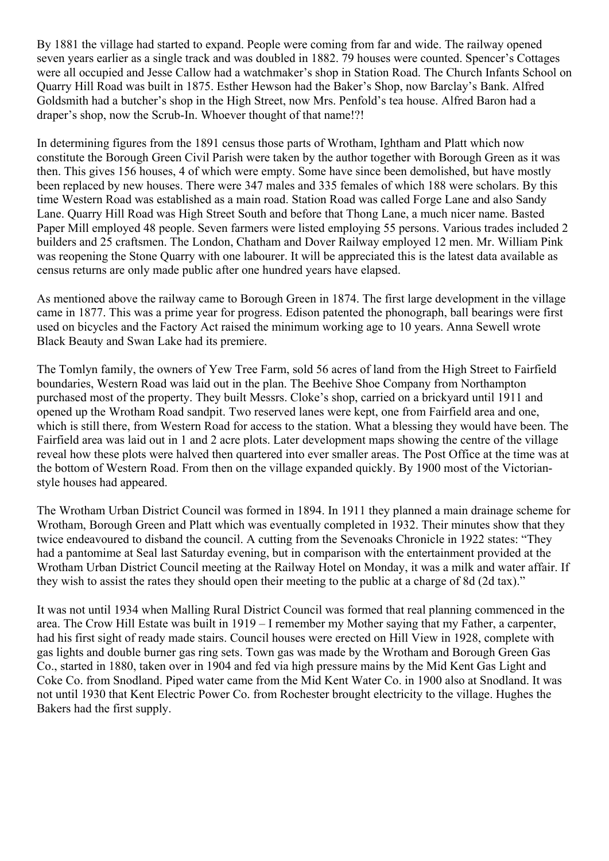By 1881 the village had started to expand. People were coming from far and wide. The railway opened seven years earlier as a single track and was doubled in 1882. 79 houses were counted. Spencer's Cottages were all occupied and Jesse Callow had a watchmaker's shop in Station Road. The Church Infants School on Quarry Hill Road was built in 1875. Esther Hewson had the Baker's Shop, now Barclay's Bank. Alfred Goldsmith had a butcher's shop in the High Street, now Mrs. Penfold's tea house. Alfred Baron had a draper's shop, now the Scrub-In. Whoever thought of that name!?!

In determining figures from the 1891 census those parts of Wrotham, Ightham and Platt which now constitute the Borough Green Civil Parish were taken by the author together with Borough Green as it was then. This gives 156 houses, 4 of which were empty. Some have since been demolished, but have mostly been replaced by new houses. There were 347 males and 335 females of which 188 were scholars. By this time Western Road was established as a main road. Station Road was called Forge Lane and also Sandy Lane. Quarry Hill Road was High Street South and before that Thong Lane, a much nicer name. Basted Paper Mill employed 48 people. Seven farmers were listed employing 55 persons. Various trades included 2 builders and 25 craftsmen. The London, Chatham and Dover Railway employed 12 men. Mr. William Pink was reopening the Stone Quarry with one labourer. It will be appreciated this is the latest data available as census returns are only made public after one hundred years have elapsed.

As mentioned above the railway came to Borough Green in 1874. The first large development in the village came in 1877. This was a prime year for progress. Edison patented the phonograph, ball bearings were first used on bicycles and the Factory Act raised the minimum working age to 10 years. Anna Sewell wrote Black Beauty and Swan Lake had its premiere.

The Tomlyn family, the owners of Yew Tree Farm, sold 56 acres of land from the High Street to Fairfield boundaries, Western Road was laid out in the plan. The Beehive Shoe Company from Northampton purchased most of the property. They built Messrs. Cloke's shop, carried on a brickyard until 1911 and opened up the Wrotham Road sandpit. Two reserved lanes were kept, one from Fairfield area and one, which is still there, from Western Road for access to the station. What a blessing they would have been. The Fairfield area was laid out in 1 and 2 acre plots. Later development maps showing the centre of the village reveal how these plots were halved then quartered into ever smaller areas. The Post Office at the time was at the bottom of Western Road. From then on the village expanded quickly. By 1900 most of the Victorianstyle houses had appeared.

The Wrotham Urban District Council was formed in 1894. In 1911 they planned a main drainage scheme for Wrotham, Borough Green and Platt which was eventually completed in 1932. Their minutes show that they twice endeavoured to disband the council. A cutting from the Sevenoaks Chronicle in 1922 states: "They had a pantomime at Seal last Saturday evening, but in comparison with the entertainment provided at the Wrotham Urban District Council meeting at the Railway Hotel on Monday, it was a milk and water affair. If they wish to assist the rates they should open their meeting to the public at a charge of 8d (2d tax)."

It was not until 1934 when Malling Rural District Council was formed that real planning commenced in the area. The Crow Hill Estate was built in 1919 – I remember my Mother saying that my Father, a carpenter, had his first sight of ready made stairs. Council houses were erected on Hill View in 1928, complete with gas lights and double burner gas ring sets. Town gas was made by the Wrotham and Borough Green Gas Co., started in 1880, taken over in 1904 and fed via high pressure mains by the Mid Kent Gas Light and Coke Co. from Snodland. Piped water came from the Mid Kent Water Co. in 1900 also at Snodland. It was not until 1930 that Kent Electric Power Co. from Rochester brought electricity to the village. Hughes the Bakers had the first supply.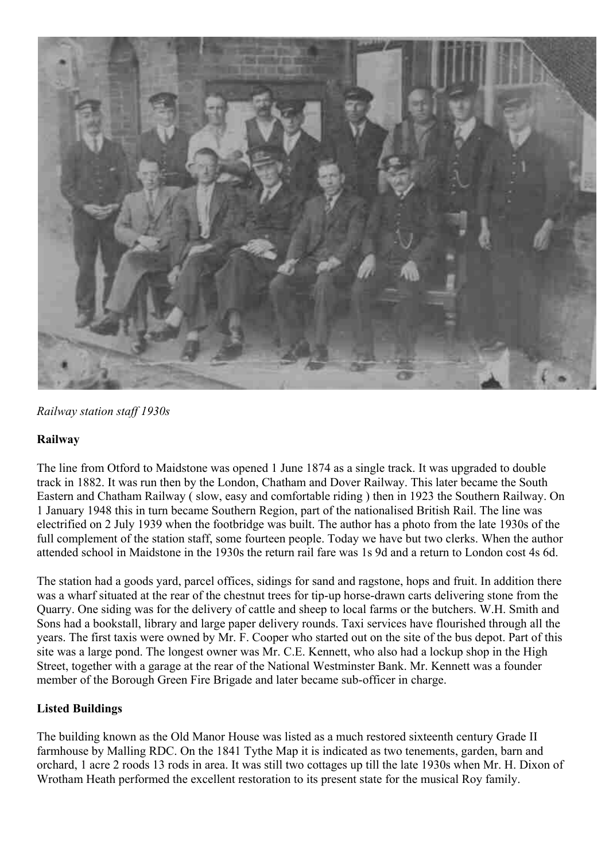

*Railway station staff 1930s*

#### **Railway**

The line from Otford to Maidstone was opened 1 June 1874 as a single track. It was upgraded to double track in 1882. It was run then by the London, Chatham and Dover Railway. This later became the South Eastern and Chatham Railway ( slow, easy and comfortable riding ) then in 1923 the Southern Railway. On 1 January 1948 this in turn became Southern Region, part of the nationalised British Rail. The line was electrified on 2 July 1939 when the footbridge was built. The author has a photo from the late 1930s of the full complement of the station staff, some fourteen people. Today we have but two clerks. When the author attended school in Maidstone in the 1930s the return rail fare was 1s 9d and a return to London cost 4s 6d.

The station had a goods yard, parcel offices, sidings for sand and ragstone, hops and fruit. In addition there was a wharf situated at the rear of the chestnut trees for tip-up horse-drawn carts delivering stone from the Quarry. One siding was for the delivery of cattle and sheep to local farms or the butchers. W.H. Smith and Sons had a bookstall, library and large paper delivery rounds. Taxi services have flourished through all the years. The first taxis were owned by Mr. F. Cooper who started out on the site of the bus depot. Part of this site was a large pond. The longest owner was Mr. C.E. Kennett, who also had a lockup shop in the High Street, together with a garage at the rear of the National Westminster Bank. Mr. Kennett was a founder member of the Borough Green Fire Brigade and later became sub-officer in charge.

#### **Listed Buildings**

The building known as the Old Manor House was listed as a much restored sixteenth century Grade II farmhouse by Malling RDC. On the 1841 Tythe Map it is indicated as two tenements, garden, barn and orchard, 1 acre 2 roods 13 rods in area. It was still two cottages up till the late 1930s when Mr. H. Dixon of Wrotham Heath performed the excellent restoration to its present state for the musical Roy family.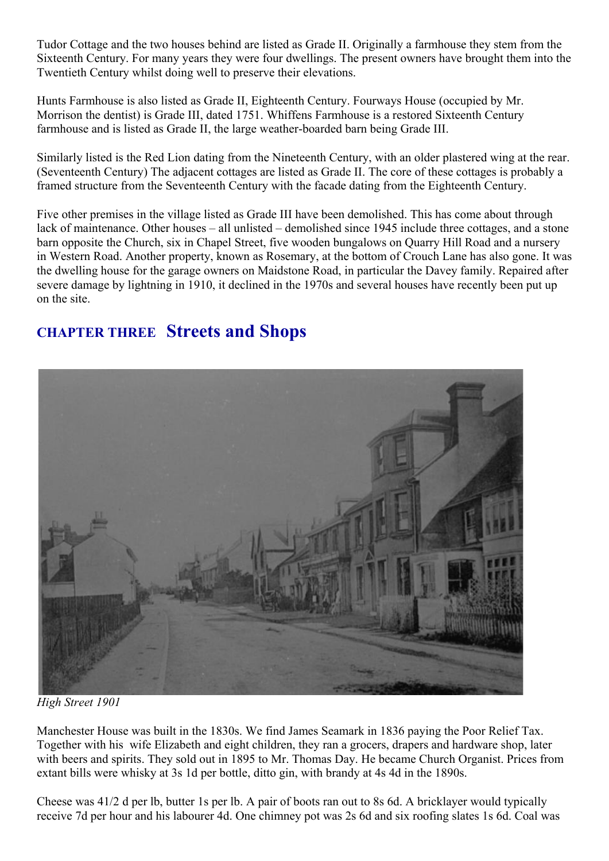Tudor Cottage and the two houses behind are listed as Grade II. Originally a farmhouse they stem from the Sixteenth Century. For many years they were four dwellings. The present owners have brought them into the Twentieth Century whilst doing well to preserve their elevations.

Hunts Farmhouse is also listed as Grade II, Eighteenth Century. Fourways House (occupied by Mr. Morrison the dentist) is Grade III, dated 1751. Whiffens Farmhouse is a restored Sixteenth Century farmhouse and is listed as Grade II, the large weather-boarded barn being Grade III.

Similarly listed is the Red Lion dating from the Nineteenth Century, with an older plastered wing at the rear. (Seventeenth Century) The adjacent cottages are listed as Grade II. The core of these cottages is probably a framed structure from the Seventeenth Century with the facade dating from the Eighteenth Century.

Five other premises in the village listed as Grade III have been demolished. This has come about through lack of maintenance. Other houses – all unlisted – demolished since 1945 include three cottages, and a stone barn opposite the Church, six in Chapel Street, five wooden bungalows on Quarry Hill Road and a nursery in Western Road. Another property, known as Rosemary, at the bottom of Crouch Lane has also gone. It was the dwelling house for the garage owners on Maidstone Road, in particular the Davey family. Repaired after severe damage by lightning in 1910, it declined in the 1970s and several houses have recently been put up on the site.

### **CHAPTER THREE Streets and Shops**



*High Street 1901*

Manchester House was built in the 1830s. We find James Seamark in 1836 paying the Poor Relief Tax. Together with his wife Elizabeth and eight children, they ran a grocers, drapers and hardware shop, later with beers and spirits. They sold out in 1895 to Mr. Thomas Day. He became Church Organist. Prices from extant bills were whisky at 3s 1d per bottle, ditto gin, with brandy at 4s 4d in the 1890s.

Cheese was 41/2 d per lb, butter 1s per lb. A pair of boots ran out to 8s 6d. A bricklayer would typically receive 7d per hour and his labourer 4d. One chimney pot was 2s 6d and six roofing slates 1s 6d. Coal was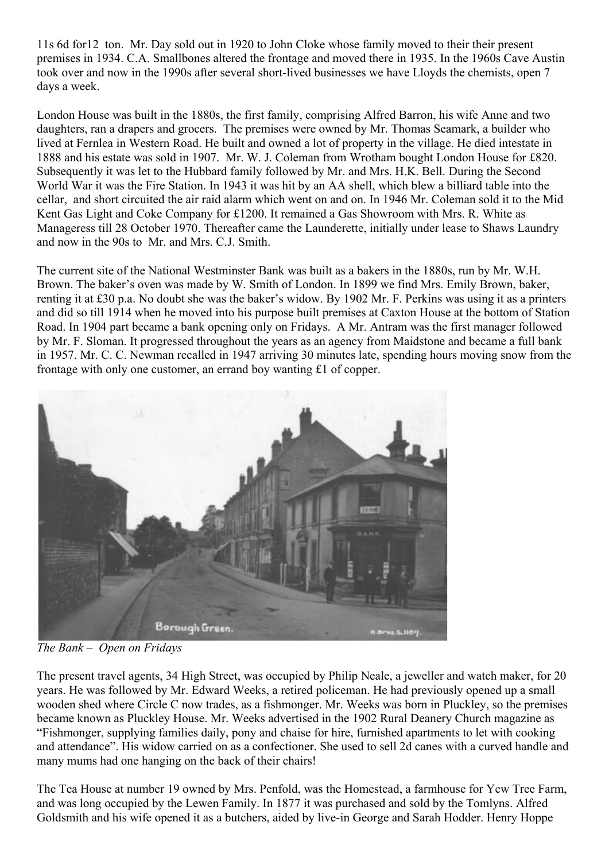11s 6d for12 ton. Mr. Day sold out in 1920 to John Cloke whose family moved to their their present premises in 1934. C.A. Smallbones altered the frontage and moved there in 1935. In the 1960s Cave Austin took over and now in the 1990s after several short-lived businesses we have Lloyds the chemists, open 7 days a week.

London House was built in the 1880s, the first family, comprising Alfred Barron, his wife Anne and two daughters, ran a drapers and grocers. The premises were owned by Mr. Thomas Seamark, a builder who lived at Fernlea in Western Road. He built and owned a lot of property in the village. He died intestate in 1888 and his estate was sold in 1907. Mr. W. J. Coleman from Wrotham bought London House for £820. Subsequently it was let to the Hubbard family followed by Mr. and Mrs. H.K. Bell. During the Second World War it was the Fire Station. In 1943 it was hit by an AA shell, which blew a billiard table into the cellar, and short circuited the air raid alarm which went on and on. In 1946 Mr. Coleman sold it to the Mid Kent Gas Light and Coke Company for £1200. It remained a Gas Showroom with Mrs. R. White as Manageress till 28 October 1970. Thereafter came the Launderette, initially under lease to Shaws Laundry and now in the 90s to Mr. and Mrs. C.J. Smith.

The current site of the National Westminster Bank was built as a bakers in the 1880s, run by Mr. W.H. Brown. The baker's oven was made by W. Smith of London. In 1899 we find Mrs. Emily Brown, baker, renting it at £30 p.a. No doubt she was the baker's widow. By 1902 Mr. F. Perkins was using it as a printers and did so till 1914 when he moved into his purpose built premises at Caxton House at the bottom of Station Road. In 1904 part became a bank opening only on Fridays. A Mr. Antram was the first manager followed by Mr. F. Sloman. It progressed throughout the years as an agency from Maidstone and became a full bank in 1957. Mr. C. C. Newman recalled in 1947 arriving 30 minutes late, spending hours moving snow from the frontage with only one customer, an errand boy wanting £1 of copper.



*The Bank – Open on Fridays*

The present travel agents, 34 High Street, was occupied by Philip Neale, a jeweller and watch maker, for 20 years. He was followed by Mr. Edward Weeks, a retired policeman. He had previously opened up a small wooden shed where Circle C now trades, as a fishmonger. Mr. Weeks was born in Pluckley, so the premises became known as Pluckley House. Mr. Weeks advertised in the 1902 Rural Deanery Church magazine as "Fishmonger, supplying families daily, pony and chaise for hire, furnished apartments to let with cooking and attendance". His widow carried on as a confectioner. She used to sell 2d canes with a curved handle and many mums had one hanging on the back of their chairs!

The Tea House at number 19 owned by Mrs. Penfold, was the Homestead, a farmhouse for Yew Tree Farm, and was long occupied by the Lewen Family. In 1877 it was purchased and sold by the Tomlyns. Alfred Goldsmith and his wife opened it as a butchers, aided by live-in George and Sarah Hodder. Henry Hoppe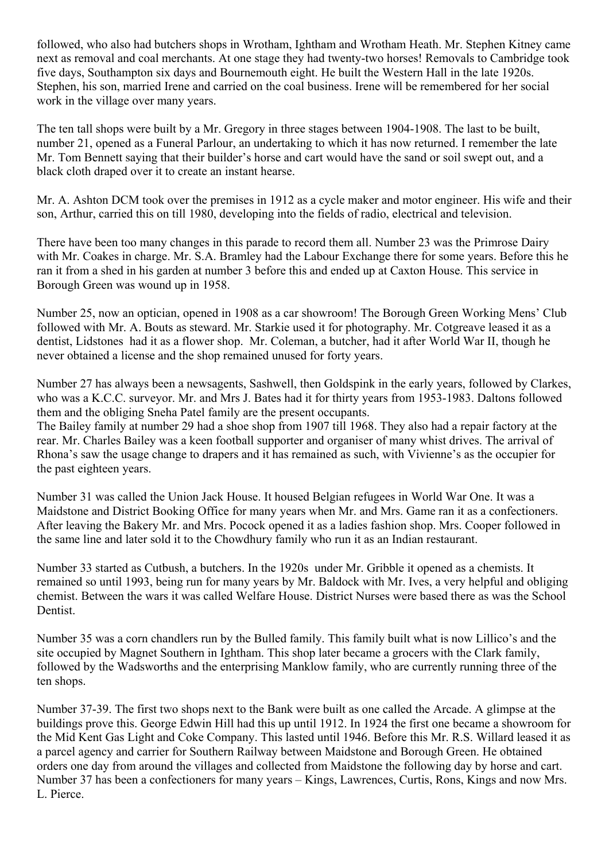followed, who also had butchers shops in Wrotham, Ightham and Wrotham Heath. Mr. Stephen Kitney came next as removal and coal merchants. At one stage they had twenty-two horses! Removals to Cambridge took five days, Southampton six days and Bournemouth eight. He built the Western Hall in the late 1920s. Stephen, his son, married Irene and carried on the coal business. Irene will be remembered for her social work in the village over many years.

The ten tall shops were built by a Mr. Gregory in three stages between 1904-1908. The last to be built, number 21, opened as a Funeral Parlour, an undertaking to which it has now returned. I remember the late Mr. Tom Bennett saying that their builder's horse and cart would have the sand or soil swept out, and a black cloth draped over it to create an instant hearse.

Mr. A. Ashton DCM took over the premises in 1912 as a cycle maker and motor engineer. His wife and their son, Arthur, carried this on till 1980, developing into the fields of radio, electrical and television.

There have been too many changes in this parade to record them all. Number 23 was the Primrose Dairy with Mr. Coakes in charge. Mr. S.A. Bramley had the Labour Exchange there for some years. Before this he ran it from a shed in his garden at number 3 before this and ended up at Caxton House. This service in Borough Green was wound up in 1958.

Number 25, now an optician, opened in 1908 as a car showroom! The Borough Green Working Mens' Club followed with Mr. A. Bouts as steward. Mr. Starkie used it for photography. Mr. Cotgreave leased it as a dentist, Lidstones had it as a flower shop. Mr. Coleman, a butcher, had it after World War II, though he never obtained a license and the shop remained unused for forty years.

Number 27 has always been a newsagents, Sashwell, then Goldspink in the early years, followed by Clarkes, who was a K.C.C. surveyor. Mr. and Mrs J. Bates had it for thirty years from 1953-1983. Daltons followed them and the obliging Sneha Patel family are the present occupants.

The Bailey family at number 29 had a shoe shop from 1907 till 1968. They also had a repair factory at the rear. Mr. Charles Bailey was a keen football supporter and organiser of many whist drives. The arrival of Rhona's saw the usage change to drapers and it has remained as such, with Vivienne's as the occupier for the past eighteen years.

Number 31 was called the Union Jack House. It housed Belgian refugees in World War One. It was a Maidstone and District Booking Office for many years when Mr. and Mrs. Game ran it as a confectioners. After leaving the Bakery Mr. and Mrs. Pocock opened it as a ladies fashion shop. Mrs. Cooper followed in the same line and later sold it to the Chowdhury family who run it as an Indian restaurant.

Number 33 started as Cutbush, a butchers. In the 1920s under Mr. Gribble it opened as a chemists. It remained so until 1993, being run for many years by Mr. Baldock with Mr. Ives, a very helpful and obliging chemist. Between the wars it was called Welfare House. District Nurses were based there as was the School Dentist.

Number 35 was a corn chandlers run by the Bulled family. This family built what is now Lillico's and the site occupied by Magnet Southern in Ightham. This shop later became a grocers with the Clark family, followed by the Wadsworths and the enterprising Manklow family, who are currently running three of the ten shops.

Number 37-39. The first two shops next to the Bank were built as one called the Arcade. A glimpse at the buildings prove this. George Edwin Hill had this up until 1912. In 1924 the first one became a showroom for the Mid Kent Gas Light and Coke Company. This lasted until 1946. Before this Mr. R.S. Willard leased it as a parcel agency and carrier for Southern Railway between Maidstone and Borough Green. He obtained orders one day from around the villages and collected from Maidstone the following day by horse and cart. Number 37 has been a confectioners for many years – Kings, Lawrences, Curtis, Rons, Kings and now Mrs. L. Pierce.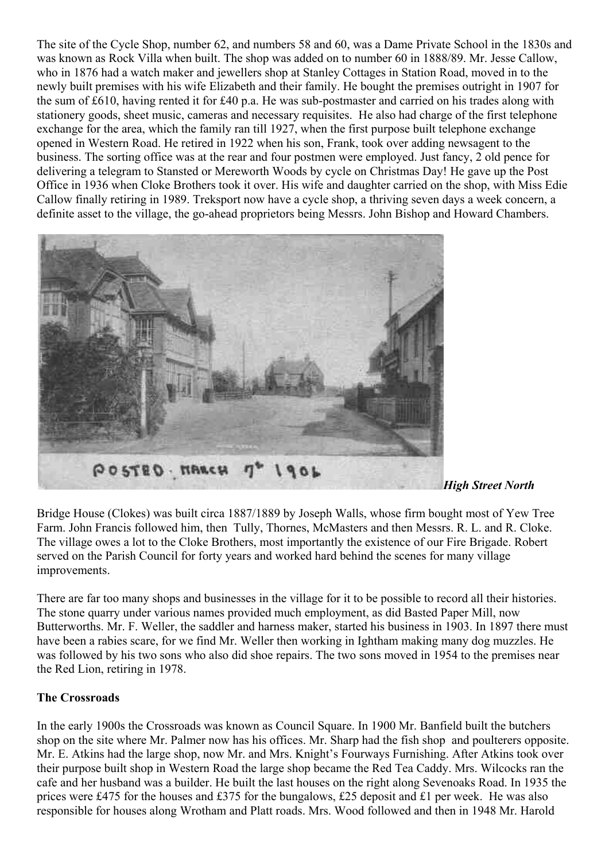The site of the Cycle Shop, number 62, and numbers 58 and 60, was a Dame Private School in the 1830s and was known as Rock Villa when built. The shop was added on to number 60 in 1888/89. Mr. Jesse Callow, who in 1876 had a watch maker and jewellers shop at Stanley Cottages in Station Road, moved in to the newly built premises with his wife Elizabeth and their family. He bought the premises outright in 1907 for the sum of £610, having rented it for £40 p.a. He was sub-postmaster and carried on his trades along with stationery goods, sheet music, cameras and necessary requisites. He also had charge of the first telephone exchange for the area, which the family ran till 1927, when the first purpose built telephone exchange opened in Western Road. He retired in 1922 when his son, Frank, took over adding newsagent to the business. The sorting office was at the rear and four postmen were employed. Just fancy, 2 old pence for delivering a telegram to Stansted or Mereworth Woods by cycle on Christmas Day! He gave up the Post Office in 1936 when Cloke Brothers took it over. His wife and daughter carried on the shop, with Miss Edie Callow finally retiring in 1989. Treksport now have a cycle shop, a thriving seven days a week concern, a definite asset to the village, the go-ahead proprietors being Messrs. John Bishop and Howard Chambers.



*[H](https://bgphotos.files.wordpress.com/2011/02/high_street_north.jpg)igh Street North*

Bridge House (Clokes) was built circa 1887/1889 by Joseph Walls, whose firm bought most of Yew Tree Farm. John Francis followed him, then Tully, Thornes, McMasters and then Messrs. R. L. and R. Cloke. The village owes a lot to the Cloke Brothers, most importantly the existence of our Fire Brigade. Robert served on the Parish Council for forty years and worked hard behind the scenes for many village improvements.

There are far too many shops and businesses in the village for it to be possible to record all their histories. The stone quarry under various names provided much employment, as did Basted Paper Mill, now Butterworths. Mr. F. Weller, the saddler and harness maker, started his business in 1903. In 1897 there must have been a rabies scare, for we find Mr. Weller then working in Ightham making many dog muzzles. He was followed by his two sons who also did shoe repairs. The two sons moved in 1954 to the premises near the Red Lion, retiring in 1978.

#### **The Crossroads**

In the early 1900s the Crossroads was known as Council Square. In 1900 Mr. Banfield built the butchers shop on the site where Mr. Palmer now has his offices. Mr. Sharp had the fish shop and poulterers opposite. Mr. E. Atkins had the large shop, now Mr. and Mrs. Knight's Fourways Furnishing. After Atkins took over their purpose built shop in Western Road the large shop became the Red Tea Caddy. Mrs. Wilcocks ran the cafe and her husband was a builder. He built the last houses on the right along Sevenoaks Road. In 1935 the prices were £475 for the houses and £375 for the bungalows, £25 deposit and £1 per week. He was also responsible for houses along Wrotham and Platt roads. Mrs. Wood followed and then in 1948 Mr. Harold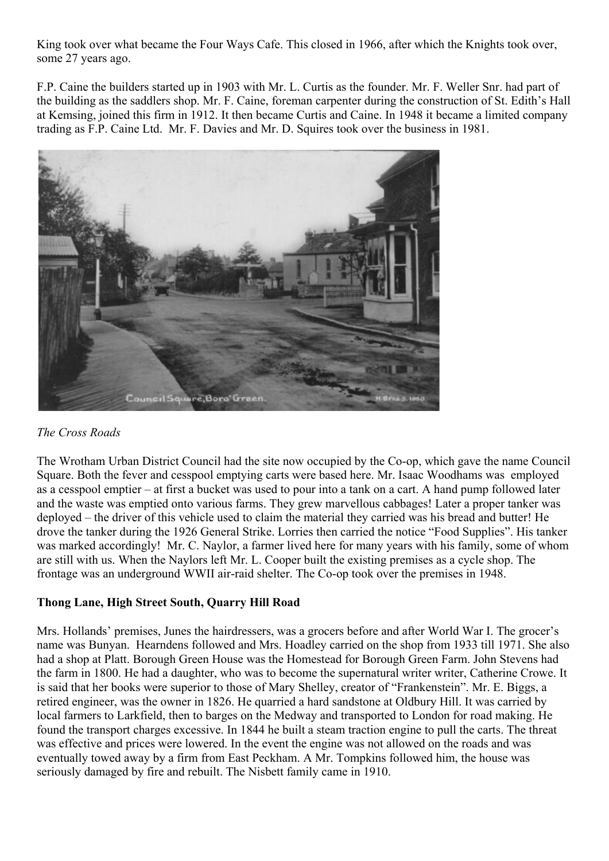King took over what became the Four Ways Cafe. This closed in 1966, after which the Knights took over, some 27 years ago.

F.P. Caine the builders started up in 1903 with Mr. L. Curtis as the founder. Mr. F. Weller Snr. had part of the building as the saddlers shop. Mr. F. Caine, foreman carpenter during the construction of St. Edith's Hall at Kemsing, joined this firm in 1912. It then became Curtis and Caine. In 1948 it became a limited company trading as F.P. Caine Ltd. Mr. F. Davies and Mr. D. Squires took over the business in 1981.



#### *The Cross Roads*

The Wrotham Urban District Council had the site now occupied by the Co-op, which gave the name Council Square. Both the fever and cesspool emptying carts were based here. Mr. Isaac Woodhams was employed as a cesspool emptier – at first a bucket was used to pour into a tank on a cart. A hand pump followed later and the waste was emptied onto various farms. They grew marvellous cabbages! Later a proper tanker was deployed – the driver of this vehicle used to claim the material they carried was his bread and butter! He drove the tanker during the 1926 General Strike. Lorries then carried the notice "Food Supplies". His tanker was marked accordingly! Mr. C. Naylor, a farmer lived here for many years with his family, some of whom are still with us. When the Naylors left Mr. L. Cooper built the existing premises as a cycle shop. The frontage was an underground WWII air-raid shelter. The Co-op took over the premises in 1948.

#### **Thong Lane, High Street South, Quarry Hill Road**

Mrs. Hollands' premises, Junes the hairdressers, was a grocers before and after World War I. The grocer's name was Bunyan. Hearndens followed and Mrs. Hoadley carried on the shop from 1933 till 1971. She also had a shop at Platt. Borough Green House was the Homestead for Borough Green Farm. John Stevens had the farm in 1800. He had a daughter, who was to become the supernatural writer writer, Catherine Crowe. It is said that her books were superior to those of Mary Shelley, creator of "Frankenstein". Mr. E. Biggs, a retired engineer, was the owner in 1826. He quarried a hard sandstone at Oldbury Hill. It was carried by local farmers to Larkfield, then to barges on the Medway and transported to London for road making. He found the transport charges excessive. In 1844 he built a steam traction engine to pull the carts. The threat was effective and prices were lowered. In the event the engine was not allowed on the roads and was eventually towed away by a firm from East Peckham. A Mr. Tompkins followed him, the house was seriously damaged by fire and rebuilt. The Nisbett family came in 1910.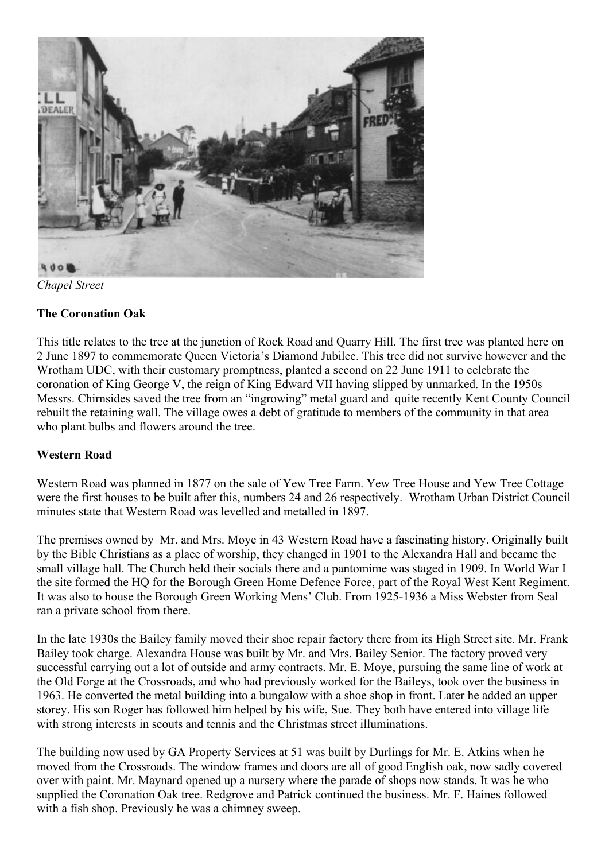

*Chapel Street*

#### **The Coronation Oak**

This title relates to the tree at the junction of Rock Road and Quarry Hill. The first tree was planted here on 2 June 1897 to commemorate Queen Victoria's Diamond Jubilee. This tree did not survive however and the Wrotham UDC, with their customary promptness, planted a second on 22 June 1911 to celebrate the coronation of King George V, the reign of King Edward VII having slipped by unmarked. In the 1950s Messrs. Chirnsides saved the tree from an "ingrowing" metal guard and quite recently Kent County Council rebuilt the retaining wall. The village owes a debt of gratitude to members of the community in that area who plant bulbs and flowers around the tree.

#### **Western Road**

Western Road was planned in 1877 on the sale of Yew Tree Farm. Yew Tree House and Yew Tree Cottage were the first houses to be built after this, numbers 24 and 26 respectively. Wrotham Urban District Council minutes state that Western Road was levelled and metalled in 1897.

The premises owned by Mr. and Mrs. Moye in 43 Western Road have a fascinating history. Originally built by the Bible Christians as a place of worship, they changed in 1901 to the Alexandra Hall and became the small village hall. The Church held their socials there and a pantomime was staged in 1909. In World War I the site formed the HQ for the Borough Green Home Defence Force, part of the Royal West Kent Regiment. It was also to house the Borough Green Working Mens' Club. From 1925-1936 a Miss Webster from Seal ran a private school from there.

In the late 1930s the Bailey family moved their shoe repair factory there from its High Street site. Mr. Frank Bailey took charge. Alexandra House was built by Mr. and Mrs. Bailey Senior. The factory proved very successful carrying out a lot of outside and army contracts. Mr. E. Moye, pursuing the same line of work at the Old Forge at the Crossroads, and who had previously worked for the Baileys, took over the business in 1963. He converted the metal building into a bungalow with a shoe shop in front. Later he added an upper storey. His son Roger has followed him helped by his wife, Sue. They both have entered into village life with strong interests in scouts and tennis and the Christmas street illuminations.

The building now used by GA Property Services at 51 was built by Durlings for Mr. E. Atkins when he moved from the Crossroads. The window frames and doors are all of good English oak, now sadly covered over with paint. Mr. Maynard opened up a nursery where the parade of shops now stands. It was he who supplied the Coronation Oak tree. Redgrove and Patrick continued the business. Mr. F. Haines followed with a fish shop. Previously he was a chimney sweep.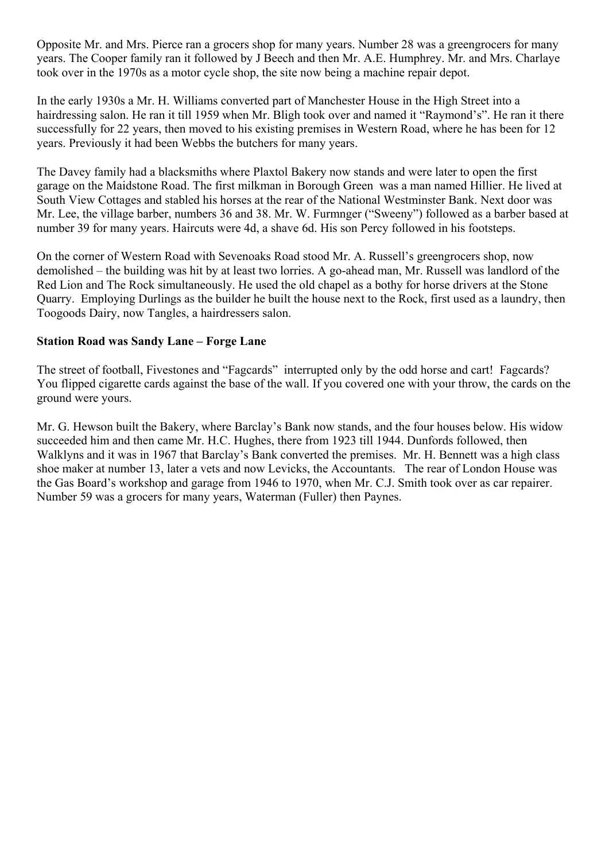Opposite Mr. and Mrs. Pierce ran a grocers shop for many years. Number 28 was a greengrocers for many years. The Cooper family ran it followed by J Beech and then Mr. A.E. Humphrey. Mr. and Mrs. Charlaye took over in the 1970s as a motor cycle shop, the site now being a machine repair depot.

In the early 1930s a Mr. H. Williams converted part of Manchester House in the High Street into a hairdressing salon. He ran it till 1959 when Mr. Bligh took over and named it "Raymond's". He ran it there successfully for 22 years, then moved to his existing premises in Western Road, where he has been for 12 years. Previously it had been Webbs the butchers for many years.

The Davey family had a blacksmiths where Plaxtol Bakery now stands and were later to open the first garage on the Maidstone Road. The first milkman in Borough Green was a man named Hillier. He lived at South View Cottages and stabled his horses at the rear of the National Westminster Bank. Next door was Mr. Lee, the village barber, numbers 36 and 38. Mr. W. Furmnger ("Sweeny") followed as a barber based at number 39 for many years. Haircuts were 4d, a shave 6d. His son Percy followed in his footsteps.

On the corner of Western Road with Sevenoaks Road stood Mr. A. Russell's greengrocers shop, now demolished – the building was hit by at least two lorries. A go-ahead man, Mr. Russell was landlord of the Red Lion and The Rock simultaneously. He used the old chapel as a bothy for horse drivers at the Stone Quarry. Employing Durlings as the builder he built the house next to the Rock, first used as a laundry, then Toogoods Dairy, now Tangles, a hairdressers salon.

#### **Station Road was Sandy Lane – Forge Lane**

The street of football, Fivestones and "Fagcards" interrupted only by the odd horse and cart! Fagcards? You flipped cigarette cards against the base of the wall. If you covered one with your throw, the cards on the ground were yours.

Mr. G. Hewson built the Bakery, where Barclay's Bank now stands, and the four houses below. His widow succeeded him and then came Mr. H.C. Hughes, there from 1923 till 1944. Dunfords followed, then Walklyns and it was in 1967 that Barclay's Bank converted the premises. Mr. H. Bennett was a high class shoe maker at number 13, later a vets and now Levicks, the Accountants. The rear of London House was the Gas Board's workshop and garage from 1946 to 1970, when Mr. C.J. Smith took over as car repairer. Number 59 was a grocers for many years, Waterman (Fuller) then Paynes.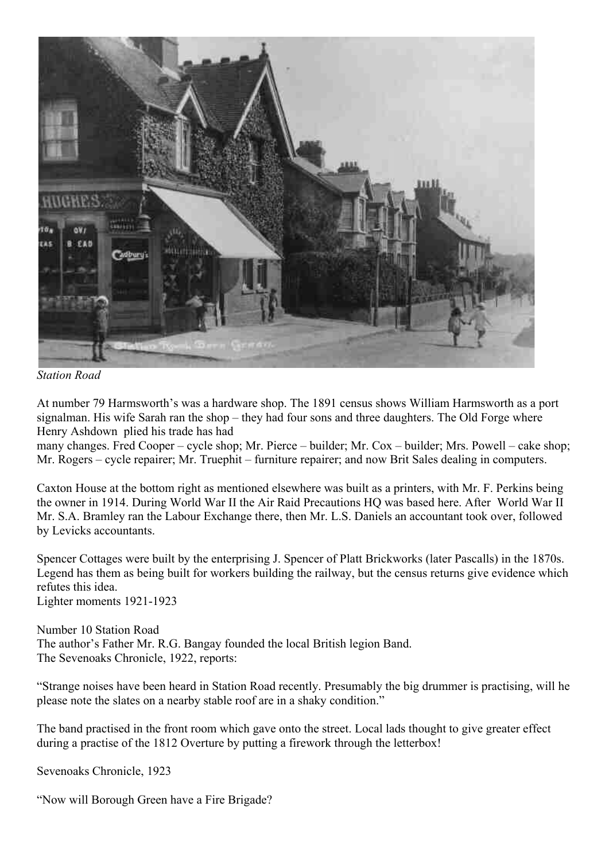

*Station Road*

At number 79 Harmsworth's was a hardware shop. The 1891 census shows William Harmsworth as a port signalman. His wife Sarah ran the shop – they had four sons and three daughters. The Old Forge where Henry Ashdown plied his trade has had

many changes. Fred Cooper – cycle shop; Mr. Pierce – builder; Mr. Cox – builder; Mrs. Powell – cake shop; Mr. Rogers – cycle repairer; Mr. Truephit – furniture repairer; and now Brit Sales dealing in computers.

Caxton House at the bottom right as mentioned elsewhere was built as a printers, with Mr. F. Perkins being the owner in 1914. During World War II the Air Raid Precautions HQ was based here. After World War II Mr. S.A. Bramley ran the Labour Exchange there, then Mr. L.S. Daniels an accountant took over, followed by Levicks accountants.

Spencer Cottages were built by the enterprising J. Spencer of Platt Brickworks (later Pascalls) in the 1870s. Legend has them as being built for workers building the railway, but the census returns give evidence which refutes this idea. Lighter moments 1921-1923

Number 10 Station Road The author's Father Mr. R.G. Bangay founded the local British legion Band. The Sevenoaks Chronicle, 1922, reports:

"Strange noises have been heard in Station Road recently. Presumably the big drummer is practising, will he please note the slates on a nearby stable roof are in a shaky condition."

The band practised in the front room which gave onto the street. Local lads thought to give greater effect during a practise of the 1812 Overture by putting a firework through the letterbox!

Sevenoaks Chronicle, 1923

"Now will Borough Green have a Fire Brigade?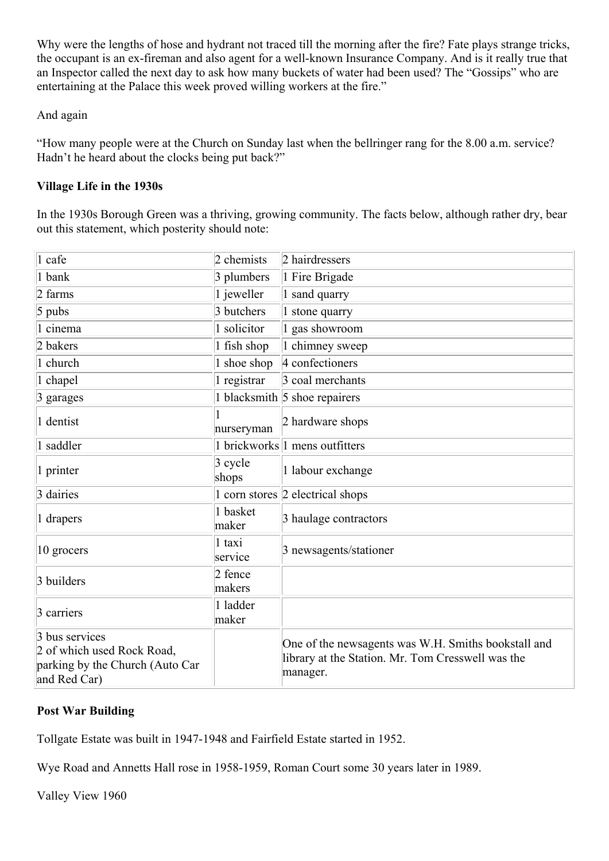Why were the lengths of hose and hydrant not traced till the morning after the fire? Fate plays strange tricks, the occupant is an ex-fireman and also agent for a well-known Insurance Company. And is it really true that an Inspector called the next day to ask how many buckets of water had been used? The "Gossips" who are entertaining at the Palace this week proved willing workers at the fire."

#### And again

"How many people were at the Church on Sunday last when the bellringer rang for the 8.00 a.m. service? Hadn't he heard about the clocks being put back?"

#### **Village Life in the 1930s**

In the 1930s Borough Green was a thriving, growing community. The facts below, although rather dry, bear out this statement, which posterity should note:

| 1 cafe                                                                                          | 2 chemists          | 2 hairdressers                                                                                                       |
|-------------------------------------------------------------------------------------------------|---------------------|----------------------------------------------------------------------------------------------------------------------|
| 1 bank                                                                                          | 3 plumbers          | 1 Fire Brigade                                                                                                       |
| $2$ farms                                                                                       | $\vert$ 1 jeweller  | 1 sand quarry                                                                                                        |
| $5$ pubs                                                                                        | 3 butchers          | 1 stone quarry                                                                                                       |
| 1 cinema                                                                                        | 1 solicitor         | 1 gas showroom                                                                                                       |
| 2 bakers                                                                                        | $\vert$ 1 fish shop | 1 chimney sweep                                                                                                      |
| 1 church                                                                                        | 1 shoe shop         | 4 confectioners                                                                                                      |
| 1 chapel                                                                                        | $\vert$ 1 registrar | 3 coal merchants                                                                                                     |
| $\beta$ garages                                                                                 |                     | 1 blacksmith $\vert$ 5 shoe repairers                                                                                |
| 1 dentist                                                                                       | nurseryman          | 2 hardware shops                                                                                                     |
| 1 saddler                                                                                       |                     | 1 brickworks 1 mens outfitters                                                                                       |
| 1 printer                                                                                       | $3$ cycle<br>shops  | 1 labour exchange                                                                                                    |
| 3 dairies                                                                                       |                     | 1 corn stores $\vert$ 2 electrical shops                                                                             |
| 1 drapers                                                                                       | 1 basket<br>maker   | 3 haulage contractors                                                                                                |
| 10 grocers                                                                                      | 1 taxi<br>service   | 3 newsagents/stationer                                                                                               |
| 3 builders                                                                                      | 2 fence<br>makers   |                                                                                                                      |
| 3 carriers                                                                                      | 1 ladder<br>maker   |                                                                                                                      |
| 3 bus services<br>2 of which used Rock Road,<br>parking by the Church (Auto Car<br>and Red Car) |                     | One of the newsagents was W.H. Smiths bookstall and<br>library at the Station. Mr. Tom Cresswell was the<br>manager. |

#### **Post War Building**

Tollgate Estate was built in 1947-1948 and Fairfield Estate started in 1952.

Wye Road and Annetts Hall rose in 1958-1959, Roman Court some 30 years later in 1989.

Valley View 1960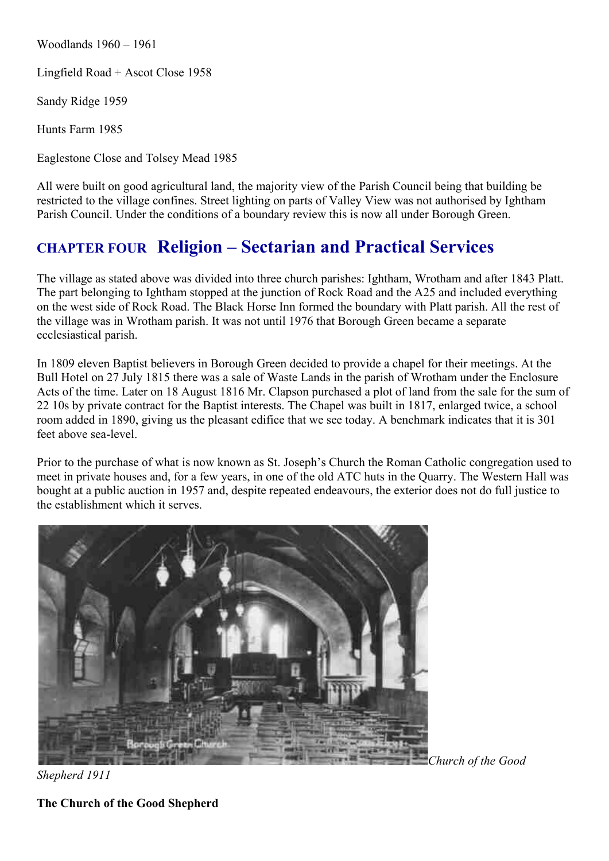Woodlands 1960 – 1961

Lingfield Road + Ascot Close 1958

Sandy Ridge 1959

Hunts Farm 1985

Eaglestone Close and Tolsey Mead 1985

All were built on good agricultural land, the majority view of the Parish Council being that building be restricted to the village confines. Street lighting on parts of Valley View was not authorised by Ightham Parish Council. Under the conditions of a boundary review this is now all under Borough Green.

### **CHAPTER FOUR Religion – Sectarian and Practical Services**

The village as stated above was divided into three church parishes: Ightham, Wrotham and after 1843 Platt. The part belonging to Ightham stopped at the junction of Rock Road and the A25 and included everything on the west side of Rock Road. The Black Horse Inn formed the boundary with Platt parish. All the rest of the village was in Wrotham parish. It was not until 1976 that Borough Green became a separate ecclesiastical parish.

In 1809 eleven Baptist believers in Borough Green decided to provide a chapel for their meetings. At the Bull Hotel on 27 July 1815 there was a sale of Waste Lands in the parish of Wrotham under the Enclosure Acts of the time. Later on 18 August 1816 Mr. Clapson purchased a plot of land from the sale for the sum of 22 10s by private contract for the Baptist interests. The Chapel was built in 1817, enlarged twice, a school room added in 1890, giving us the pleasant edifice that we see today. A benchmark indicates that it is 301 feet above sea-level.

Prior to the purchase of what is now known as St. Joseph's Church the Roman Catholic congregation used to meet in private houses and, for a few years, in one of the old ATC huts in the Quarry. The Western Hall was bought at a public auction in 1957 and, despite repeated endeavours, the exterior does not do full justice to the establishment which it serves.



*Church of the Good* 

*Shepherd 1911*

**The Church of the Good Shepherd**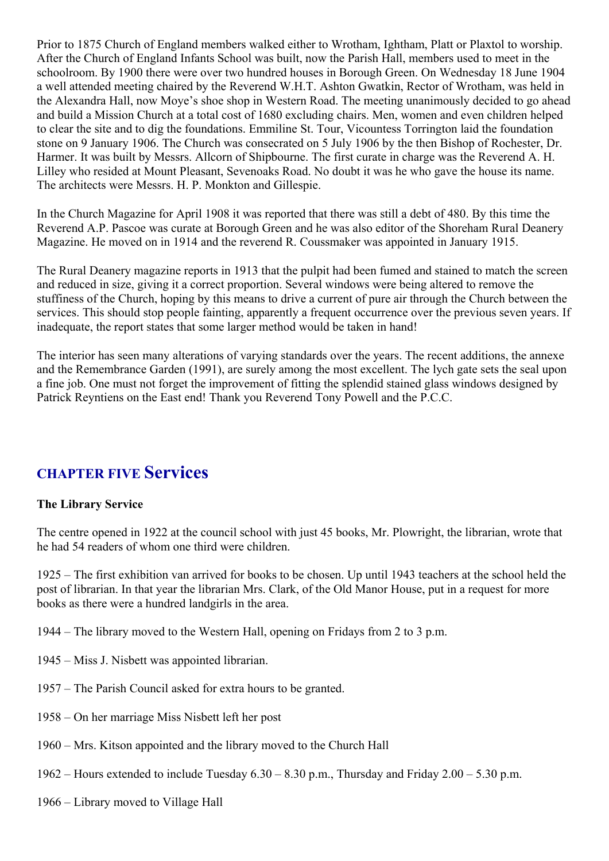Prior to 1875 Church of England members walked either to Wrotham, Ightham, Platt or Plaxtol to worship. After the Church of England Infants School was built, now the Parish Hall, members used to meet in the schoolroom. By 1900 there were over two hundred houses in Borough Green. On Wednesday 18 June 1904 a well attended meeting chaired by the Reverend W.H.T. Ashton Gwatkin, Rector of Wrotham, was held in the Alexandra Hall, now Moye's shoe shop in Western Road. The meeting unanimously decided to go ahead and build a Mission Church at a total cost of 1680 excluding chairs. Men, women and even children helped to clear the site and to dig the foundations. Emmiline St. Tour, Vicountess Torrington laid the foundation stone on 9 January 1906. The Church was consecrated on 5 July 1906 by the then Bishop of Rochester, Dr. Harmer. It was built by Messrs. Allcorn of Shipbourne. The first curate in charge was the Reverend A. H. Lilley who resided at Mount Pleasant, Sevenoaks Road. No doubt it was he who gave the house its name. The architects were Messrs. H. P. Monkton and Gillespie.

In the Church Magazine for April 1908 it was reported that there was still a debt of 480. By this time the Reverend A.P. Pascoe was curate at Borough Green and he was also editor of the Shoreham Rural Deanery Magazine. He moved on in 1914 and the reverend R. Coussmaker was appointed in January 1915.

The Rural Deanery magazine reports in 1913 that the pulpit had been fumed and stained to match the screen and reduced in size, giving it a correct proportion. Several windows were being altered to remove the stuffiness of the Church, hoping by this means to drive a current of pure air through the Church between the services. This should stop people fainting, apparently a frequent occurrence over the previous seven years. If inadequate, the report states that some larger method would be taken in hand!

The interior has seen many alterations of varying standards over the years. The recent additions, the annexe and the Remembrance Garden (1991), are surely among the most excellent. The lych gate sets the seal upon a fine job. One must not forget the improvement of fitting the splendid stained glass windows designed by Patrick Reyntiens on the East end! Thank you Reverend Tony Powell and the P.C.C.

### **CHAPTER FIVE Services**

#### **The Library Service**

The centre opened in 1922 at the council school with just 45 books, Mr. Plowright, the librarian, wrote that he had 54 readers of whom one third were children.

1925 – The first exhibition van arrived for books to be chosen. Up until 1943 teachers at the school held the post of librarian. In that year the librarian Mrs. Clark, of the Old Manor House, put in a request for more books as there were a hundred landgirls in the area.

1944 – The library moved to the Western Hall, opening on Fridays from 2 to 3 p.m.

- 1945 Miss J. Nisbett was appointed librarian.
- 1957 The Parish Council asked for extra hours to be granted.
- 1958 On her marriage Miss Nisbett left her post
- 1960 Mrs. Kitson appointed and the library moved to the Church Hall
- 1962 Hours extended to include Tuesday 6.30 8.30 p.m., Thursday and Friday 2.00 5.30 p.m.
- 1966 Library moved to Village Hall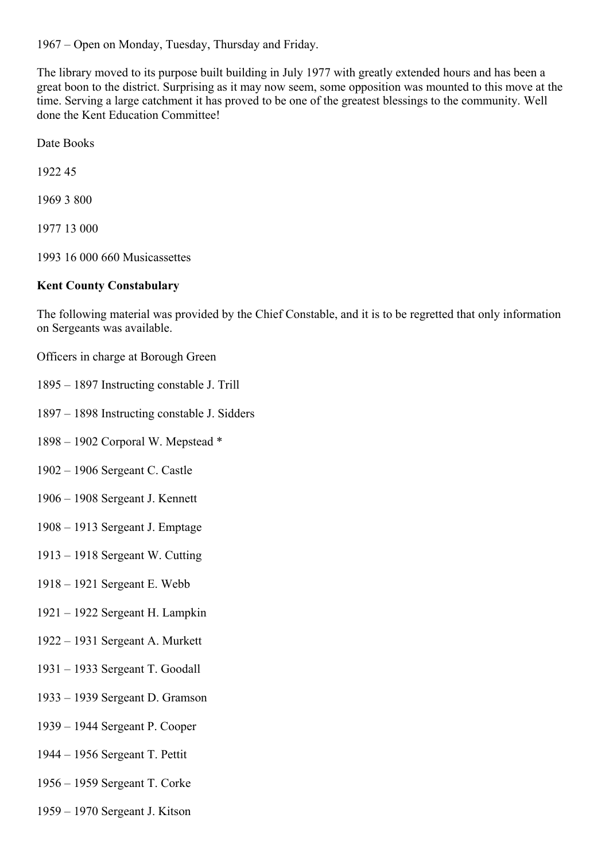1967 – Open on Monday, Tuesday, Thursday and Friday.

The library moved to its purpose built building in July 1977 with greatly extended hours and has been a great boon to the district. Surprising as it may now seem, some opposition was mounted to this move at the time. Serving a large catchment it has proved to be one of the greatest blessings to the community. Well done the Kent Education Committee!

Date Books

1922 45

1969 3 800

1977 13 000

1993 16 000 660 Musicassettes

#### **Kent County Constabulary**

The following material was provided by the Chief Constable, and it is to be regretted that only information on Sergeants was available.

Officers in charge at Borough Green

- 1895 1897 Instructing constable J. Trill
- 1897 1898 Instructing constable J. Sidders
- 1898 1902 Corporal W. Mepstead \*

1902 – 1906 Sergeant C. Castle

- 1906 1908 Sergeant J. Kennett
- 1908 1913 Sergeant J. Emptage
- 1913 1918 Sergeant W. Cutting
- 1918 1921 Sergeant E. Webb
- 1921 1922 Sergeant H. Lampkin
- 1922 1931 Sergeant A. Murkett
- 1931 1933 Sergeant T. Goodall
- 1933 1939 Sergeant D. Gramson
- 1939 1944 Sergeant P. Cooper
- 1944 1956 Sergeant T. Pettit
- 1956 1959 Sergeant T. Corke
- 1959 1970 Sergeant J. Kitson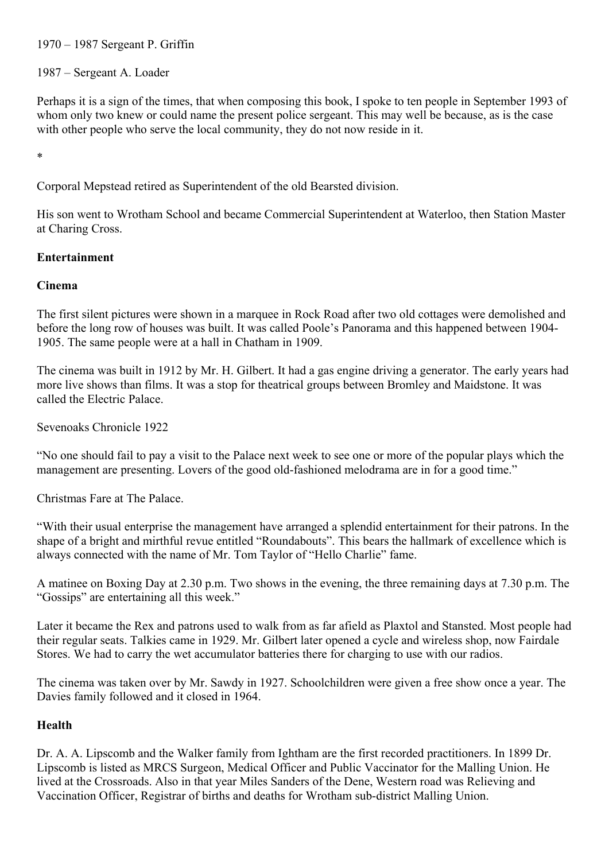#### 1970 – 1987 Sergeant P. Griffin

#### 1987 – Sergeant A. Loader

Perhaps it is a sign of the times, that when composing this book, I spoke to ten people in September 1993 of whom only two knew or could name the present police sergeant. This may well be because, as is the case with other people who serve the local community, they do not now reside in it.

\*

Corporal Mepstead retired as Superintendent of the old Bearsted division.

His son went to Wrotham School and became Commercial Superintendent at Waterloo, then Station Master at Charing Cross.

#### **Entertainment**

#### **Cinema**

The first silent pictures were shown in a marquee in Rock Road after two old cottages were demolished and before the long row of houses was built. It was called Poole's Panorama and this happened between 1904- 1905. The same people were at a hall in Chatham in 1909.

The cinema was built in 1912 by Mr. H. Gilbert. It had a gas engine driving a generator. The early years had more live shows than films. It was a stop for theatrical groups between Bromley and Maidstone. It was called the Electric Palace.

Sevenoaks Chronicle 1922

"No one should fail to pay a visit to the Palace next week to see one or more of the popular plays which the management are presenting. Lovers of the good old-fashioned melodrama are in for a good time."

Christmas Fare at The Palace.

"With their usual enterprise the management have arranged a splendid entertainment for their patrons. In the shape of a bright and mirthful revue entitled "Roundabouts". This bears the hallmark of excellence which is always connected with the name of Mr. Tom Taylor of "Hello Charlie" fame.

A matinee on Boxing Day at 2.30 p.m. Two shows in the evening, the three remaining days at 7.30 p.m. The "Gossips" are entertaining all this week."

Later it became the Rex and patrons used to walk from as far afield as Plaxtol and Stansted. Most people had their regular seats. Talkies came in 1929. Mr. Gilbert later opened a cycle and wireless shop, now Fairdale Stores. We had to carry the wet accumulator batteries there for charging to use with our radios.

The cinema was taken over by Mr. Sawdy in 1927. Schoolchildren were given a free show once a year. The Davies family followed and it closed in 1964.

#### **Health**

Dr. A. A. Lipscomb and the Walker family from Ightham are the first recorded practitioners. In 1899 Dr. Lipscomb is listed as MRCS Surgeon, Medical Officer and Public Vaccinator for the Malling Union. He lived at the Crossroads. Also in that year Miles Sanders of the Dene, Western road was Relieving and Vaccination Officer, Registrar of births and deaths for Wrotham sub-district Malling Union.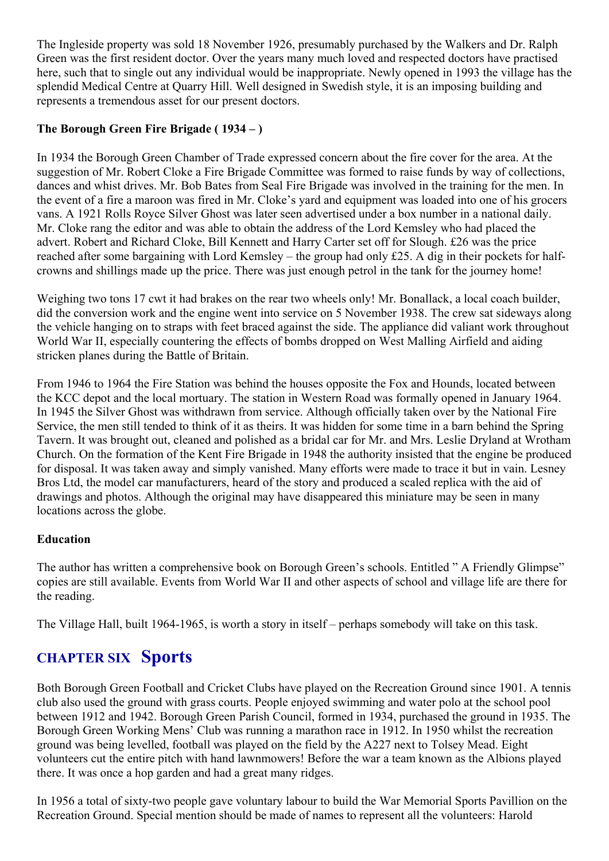The Ingleside property was sold 18 November 1926, presumably purchased by the Walkers and Dr. Ralph Green was the first resident doctor. Over the years many much loved and respected doctors have practised here, such that to single out any individual would be inappropriate. Newly opened in 1993 the village has the splendid Medical Centre at Quarry Hill. Well designed in Swedish style, it is an imposing building and represents a tremendous asset for our present doctors.

#### **The Borough Green Fire Brigade ( 1934 – )**

In 1934 the Borough Green Chamber of Trade expressed concern about the fire cover for the area. At the suggestion of Mr. Robert Cloke a Fire Brigade Committee was formed to raise funds by way of collections, dances and whist drives. Mr. Bob Bates from Seal Fire Brigade was involved in the training for the men. In the event of a fire a maroon was fired in Mr. Cloke's yard and equipment was loaded into one of his grocers vans. A 1921 Rolls Royce Silver Ghost was later seen advertised under a box number in a national daily. Mr. Cloke rang the editor and was able to obtain the address of the Lord Kemsley who had placed the advert. Robert and Richard Cloke, Bill Kennett and Harry Carter set off for Slough. £26 was the price reached after some bargaining with Lord Kemsley – the group had only £25. A dig in their pockets for halfcrowns and shillings made up the price. There was just enough petrol in the tank for the journey home!

Weighing two tons 17 cwt it had brakes on the rear two wheels only! Mr. Bonallack, a local coach builder, did the conversion work and the engine went into service on 5 November 1938. The crew sat sideways along the vehicle hanging on to straps with feet braced against the side. The appliance did valiant work throughout World War II, especially countering the effects of bombs dropped on West Malling Airfield and aiding stricken planes during the Battle of Britain.

From 1946 to 1964 the Fire Station was behind the houses opposite the Fox and Hounds, located between the KCC depot and the local mortuary. The station in Western Road was formally opened in January 1964. In 1945 the Silver Ghost was withdrawn from service. Although officially taken over by the National Fire Service, the men still tended to think of it as theirs. It was hidden for some time in a barn behind the Spring Tavern. It was brought out, cleaned and polished as a bridal car for Mr. and Mrs. Leslie Dryland at Wrotham Church. On the formation of the Kent Fire Brigade in 1948 the authority insisted that the engine be produced for disposal. It was taken away and simply vanished. Many efforts were made to trace it but in vain. Lesney Bros Ltd, the model car manufacturers, heard of the story and produced a scaled replica with the aid of drawings and photos. Although the original may have disappeared this miniature may be seen in many locations across the globe.

#### **Education**

The author has written a comprehensive book on Borough Green's schools. Entitled " A Friendly Glimpse" copies are still available. Events from World War II and other aspects of school and village life are there for the reading.

The Village Hall, built 1964-1965, is worth a story in itself – perhaps somebody will take on this task.

### **CHAPTER SIX Sports**

Both Borough Green Football and Cricket Clubs have played on the Recreation Ground since 1901. A tennis club also used the ground with grass courts. People enjoyed swimming and water polo at the school pool between 1912 and 1942. Borough Green Parish Council, formed in 1934, purchased the ground in 1935. The Borough Green Working Mens' Club was running a marathon race in 1912. In 1950 whilst the recreation ground was being levelled, football was played on the field by the A227 next to Tolsey Mead. Eight volunteers cut the entire pitch with hand lawnmowers! Before the war a team known as the Albions played there. It was once a hop garden and had a great many ridges.

In 1956 a total of sixty-two people gave voluntary labour to build the War Memorial Sports Pavillion on the Recreation Ground. Special mention should be made of names to represent all the volunteers: Harold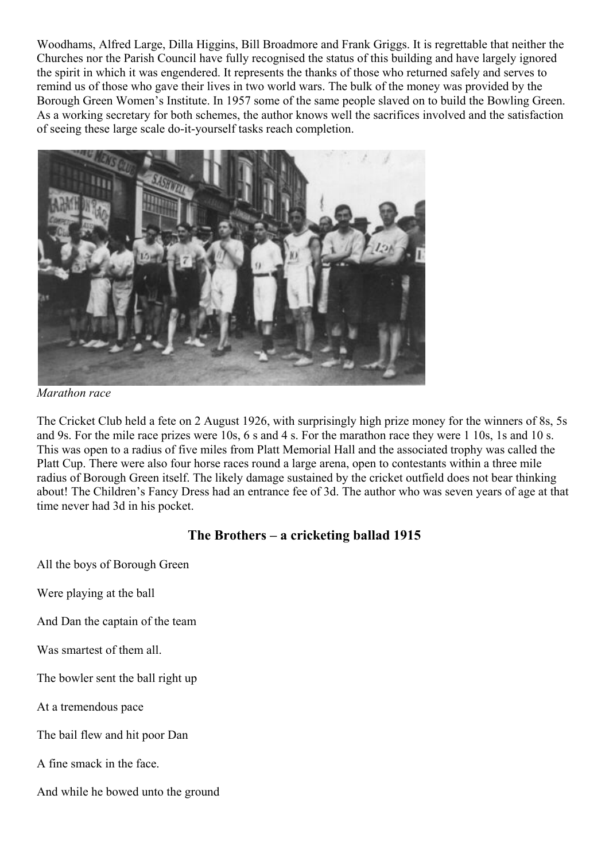Woodhams, Alfred Large, Dilla Higgins, Bill Broadmore and Frank Griggs. It is regrettable that neither the Churches nor the Parish Council have fully recognised the status of this building and have largely ignored the spirit in which it was engendered. It represents the thanks of those who returned safely and serves to remind us of those who gave their lives in two world wars. The bulk of the money was provided by the Borough Green Women's Institute. In 1957 some of the same people slaved on to build the Bowling Green. As a working secretary for both schemes, the author knows well the sacrifices involved and the satisfaction of seeing these large scale do-it-yourself tasks reach completion.



*Marathon race*

The Cricket Club held a fete on 2 August 1926, with surprisingly high prize money for the winners of 8s, 5s and 9s. For the mile race prizes were 10s, 6 s and 4 s. For the marathon race they were 1 10s, 1s and 10 s. This was open to a radius of five miles from Platt Memorial Hall and the associated trophy was called the Platt Cup. There were also four horse races round a large arena, open to contestants within a three mile radius of Borough Green itself. The likely damage sustained by the cricket outfield does not bear thinking about! The Children's Fancy Dress had an entrance fee of 3d. The author who was seven years of age at that time never had 3d in his pocket.

#### **The Brothers – a cricketing ballad 1915**

All the boys of Borough Green

Were playing at the ball

And Dan the captain of the team

Was smartest of them all.

The bowler sent the ball right up

At a tremendous pace

The bail flew and hit poor Dan

A fine smack in the face.

And while he bowed unto the ground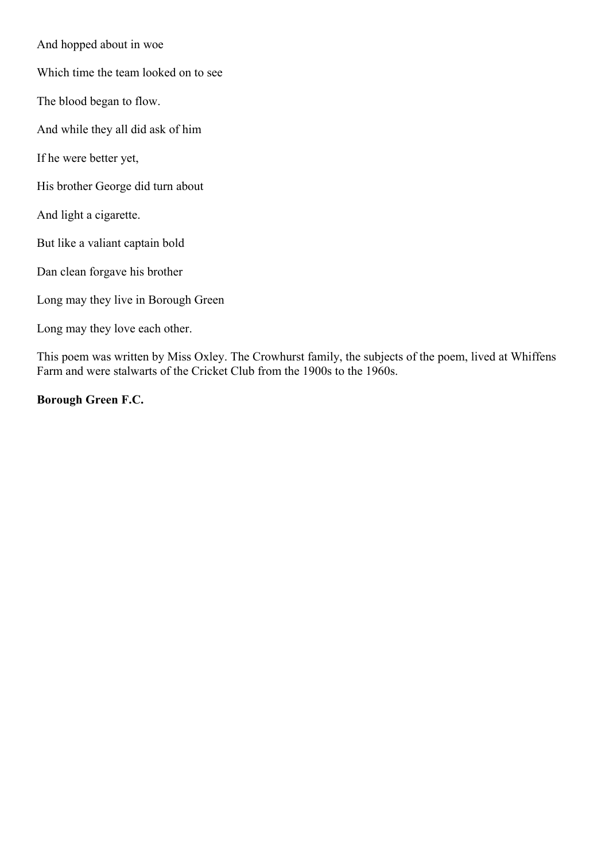And hopped about in woe

Which time the team looked on to see

The blood began to flow.

And while they all did ask of him

If he were better yet,

His brother George did turn about

And light a cigarette.

But like a valiant captain bold

Dan clean forgave his brother

Long may they live in Borough Green

Long may they love each other.

This poem was written by Miss Oxley. The Crowhurst family, the subjects of the poem, lived at Whiffens Farm and were stalwarts of the Cricket Club from the 1900s to the 1960s.

**Borough Green F.C.**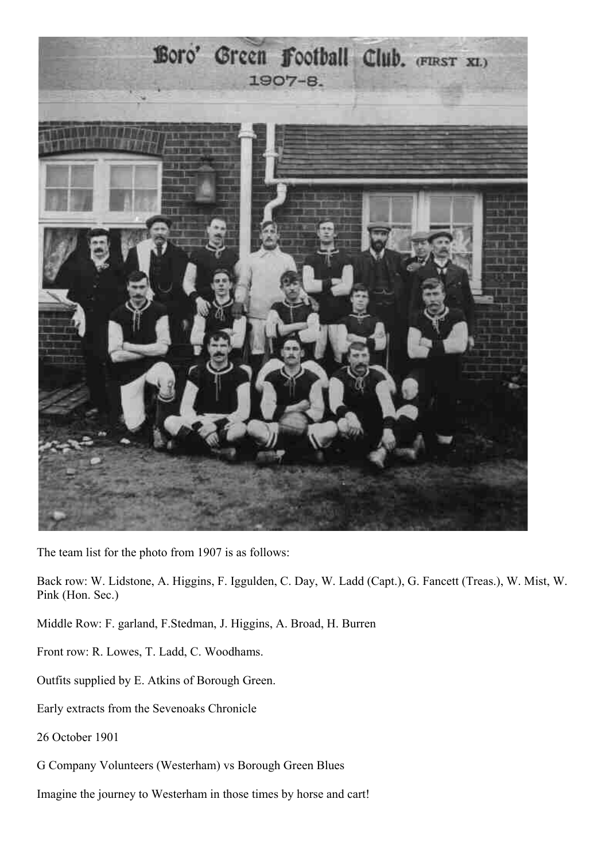

The team list for the photo from 1907 is as follows:

Back row: W. Lidstone, A. Higgins, F. Iggulden, C. Day, W. Ladd (Capt.), G. Fancett (Treas.), W. Mist, W. Pink (Hon. Sec.)

Middle Row: F. garland, F.Stedman, J. Higgins, A. Broad, H. Burren

Front row: R. Lowes, T. Ladd, C. Woodhams.

Outfits supplied by E. Atkins of Borough Green.

Early extracts from the Sevenoaks Chronicle

26 October 1901

G Company Volunteers (Westerham) vs Borough Green Blues

Imagine the journey to Westerham in those times by horse and cart!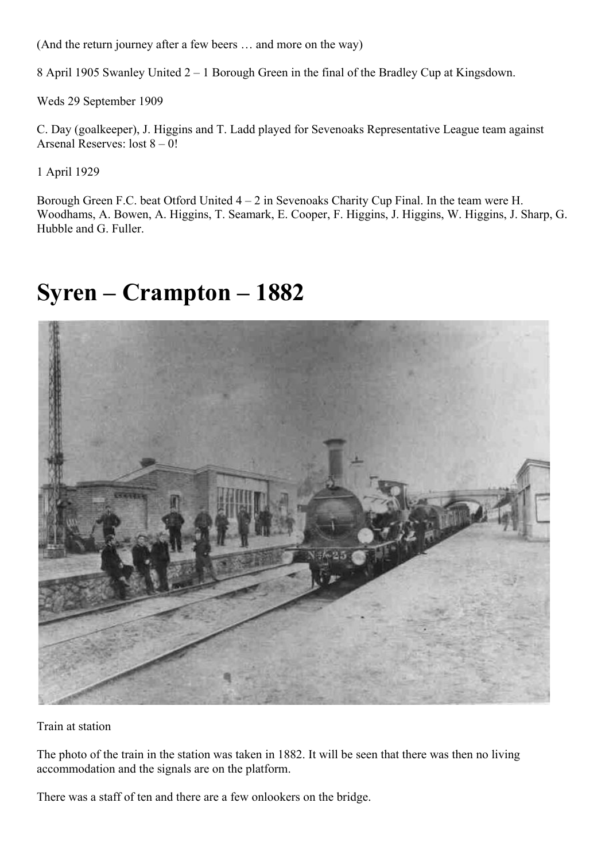(And the return journey after a few beers … and more on the way)

8 April 1905 Swanley United 2 – 1 Borough Green in the final of the Bradley Cup at Kingsdown.

Weds 29 September 1909

C. Day (goalkeeper), J. Higgins and T. Ladd played for Sevenoaks Representative League team against Arsenal Reserves: lost  $8 - 0!$ 

1 April 1929

Borough Green F.C. beat Otford United 4 – 2 in Sevenoaks Charity Cup Final. In the team were H. Woodhams, A. Bowen, A. Higgins, T. Seamark, E. Cooper, F. Higgins, J. Higgins, W. Higgins, J. Sharp, G. Hubble and G. Fuller.

## **Syren – Crampton – 1882**



Train at station

The photo of the train in the station was taken in 1882. It will be seen that there was then no living accommodation and the signals are on the platform.

There was a staff of ten and there are a few onlookers on the bridge.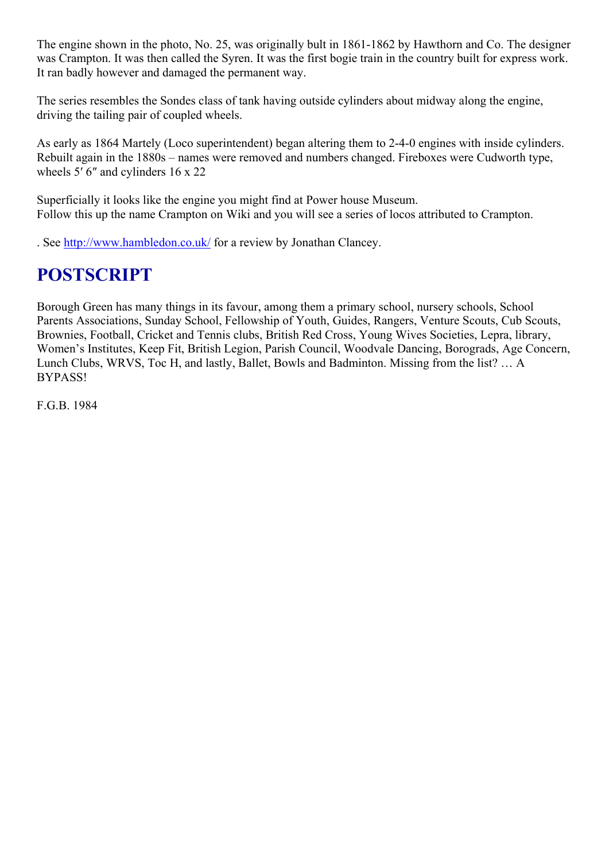The engine shown in the photo, No. 25, was originally bult in 1861-1862 by Hawthorn and Co. The designer was Crampton. It was then called the Syren. It was the first bogie train in the country built for express work. It ran badly however and damaged the permanent way.

The series resembles the Sondes class of tank having outside cylinders about midway along the engine, driving the tailing pair of coupled wheels.

As early as 1864 Martely (Loco superintendent) began altering them to 2-4-0 engines with inside cylinders. Rebuilt again in the 1880s – names were removed and numbers changed. Fireboxes were Cudworth type, wheels 5′ 6″ and cylinders 16 x 22

Superficially it looks like the engine you might find at Power house Museum. Follow this up the name Crampton on Wiki and you will see a series of locos attributed to Crampton.

. See<http://www.hambledon.co.uk/>for a review by Jonathan Clancey.

### **POSTSCRIPT**

Borough Green has many things in its favour, among them a primary school, nursery schools, School Parents Associations, Sunday School, Fellowship of Youth, Guides, Rangers, Venture Scouts, Cub Scouts, Brownies, Football, Cricket and Tennis clubs, British Red Cross, Young Wives Societies, Lepra, library, Women's Institutes, Keep Fit, British Legion, Parish Council, Woodvale Dancing, Borograds, Age Concern, Lunch Clubs, WRVS, Toc H, and lastly, Ballet, Bowls and Badminton. Missing from the list? … A BYPASS!

F.G.B. 1984